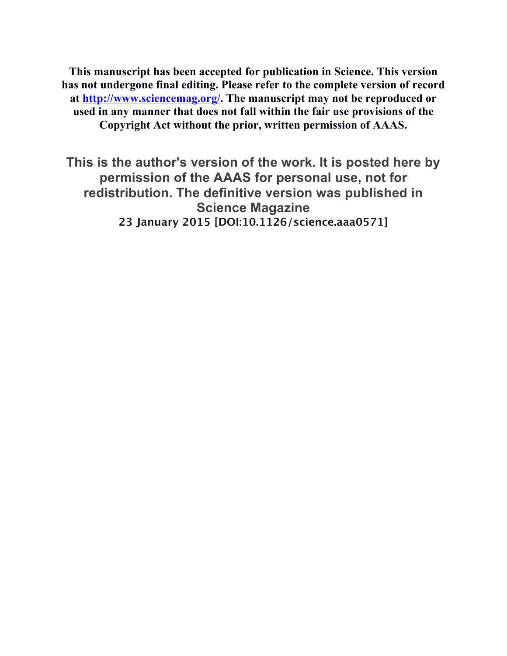**This manuscript has been accepted for publication in Science. This version has not undergone final editing. Please refer to the complete version of record at http://www.sciencemag.org/. The manuscript may not be reproduced or used in any manner that does not fall within the fair use provisions of the Copyright Act without the prior, written permission of AAAS.**

**This is the author's version of the work. It is posted here by permission of the AAAS for personal use, not for redistribution. The definitive version was published in Science Magazine 23 January 2015 [DOI:10.1126/science.aaa0571]**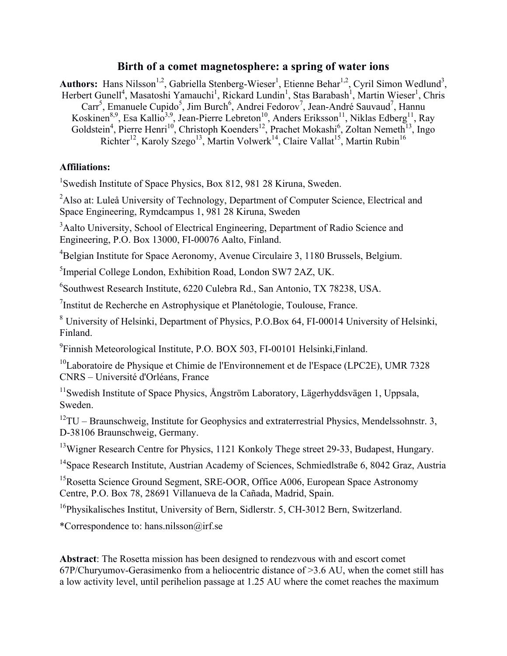## **Birth of a comet magnetosphere: a spring of water ions**

Authors: Hans Nilsson<sup>1,2</sup>, Gabriella Stenberg-Wieser<sup>1</sup>, Etienne Behar<sup>1,2</sup>, Cyril Simon Wedlund<sup>3</sup>, Herbert Gunell<sup>4</sup>, Masatoshi Yamauchi<sup>1</sup>, Rickard Lundin<sup>1</sup>, Stas Barabash<sup>1</sup>, Martin Wieser<sup>1</sup>, Chris Carr<sup>5</sup>, Emanuele Cupido<sup>5</sup>, Jim Burch<sup>6</sup>, Andrei Fedorov<sup>7</sup>, Jean-André Sauvaud<sup>7</sup>, Hannu Koskinen<sup>8,9</sup>, Esa Kallio<sup>3,9</sup>, Jean-Pierre Lebreton<sup>10</sup>, Anders Eriksson<sup>11</sup>, Niklas Edberg<sup>11</sup>, Ray Goldstein<sup>4</sup>, Pierre Henri<sup>10</sup>, Christoph Koenders<sup>12</sup>, Prachet Mokashi<sup>6</sup>, Zoltan Nemeth<sup>13</sup>, Ingo Richter<sup>12</sup>, Karoly Szego<sup>13</sup>, Martin Volwerk<sup>14</sup>, Claire Vallat<sup>15</sup>, Martin Rubin<sup>16</sup>

## **Affiliations:**

<sup>1</sup>Swedish Institute of Space Physics, Box 812, 981 28 Kiruna, Sweden.

<sup>2</sup>Also at: Luleå University of Technology, Department of Computer Science, Electrical and Space Engineering, Rymdcampus 1, 981 28 Kiruna, Sweden

<sup>3</sup> Aalto University, School of Electrical Engineering, Department of Radio Science and Engineering, P.O. Box 13000, FI-00076 Aalto, Finland.

<sup>4</sup>Belgian Institute for Space Aeronomy, Avenue Circulaire 3, 1180 Brussels, Belgium.

<sup>5</sup>Imperial College London, Exhibition Road, London SW7 2AZ, UK.

6 Southwest Research Institute, 6220 Culebra Rd., San Antonio, TX 78238, USA.

<sup>7</sup>Institut de Recherche en Astrophysique et Planétologie, Toulouse, France.

<sup>8</sup> University of Helsinki, Department of Physics, P.O.Box 64, FI-00014 University of Helsinki, Finland.

<sup>9</sup>Finnish Meteorological Institute, P.O. BOX 503, FI-00101 Helsinki, Finland.

 $10$ Laboratoire de Physique et Chimie de l'Environnement et de l'Espace (LPC2E), UMR 7328 CNRS – Université d'Orléans, France

11Swedish Institute of Space Physics, Ångström Laboratory, Lägerhyddsvägen 1, Uppsala, Sweden.

 $12$ TU – Braunschweig, Institute for Geophysics and extraterrestrial Physics, Mendelssohnstr. 3, D-38106 Braunschweig, Germany.

<sup>13</sup>Wigner Research Centre for Physics, 1121 Konkoly Thege street 29-33, Budapest, Hungary.

<sup>14</sup> Space Research Institute, Austrian Academy of Sciences, Schmiedlstraße 6, 8042 Graz, Austria

<sup>15</sup>Rosetta Science Ground Segment, SRE-OOR, Office A006, European Space Astronomy Centre, P.O. Box 78, 28691 Villanueva de la Cañada, Madrid, Spain.

<sup>16</sup>Physikalisches Institut, University of Bern, Sidlerstr. 5, CH-3012 Bern, Switzerland.

\*Correspondence to: hans.nilsson@irf.se

**Abstract**: The Rosetta mission has been designed to rendezvous with and escort comet 67P/Churyumov-Gerasimenko from a heliocentric distance of >3.6 AU, when the comet still has a low activity level, until perihelion passage at 1.25 AU where the comet reaches the maximum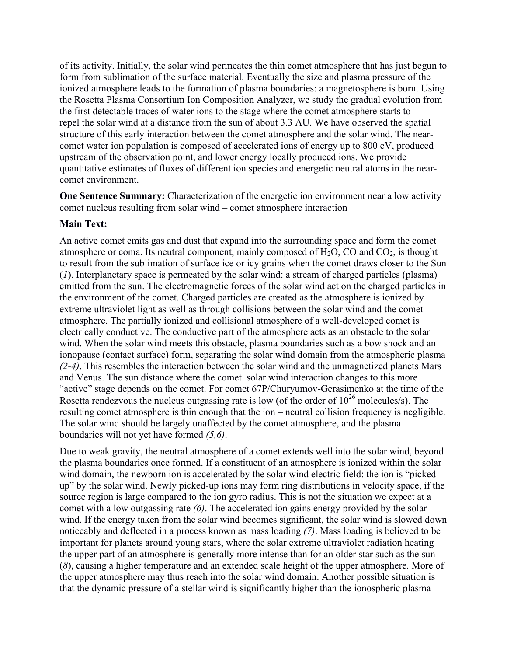of its activity. Initially, the solar wind permeates the thin comet atmosphere that has just begun to form from sublimation of the surface material. Eventually the size and plasma pressure of the ionized atmosphere leads to the formation of plasma boundaries: a magnetosphere is born. Using the Rosetta Plasma Consortium Ion Composition Analyzer, we study the gradual evolution from the first detectable traces of water ions to the stage where the comet atmosphere starts to repel the solar wind at a distance from the sun of about 3.3 AU. We have observed the spatial structure of this early interaction between the comet atmosphere and the solar wind. The nearcomet water ion population is composed of accelerated ions of energy up to 800 eV, produced upstream of the observation point, and lower energy locally produced ions. We provide quantitative estimates of fluxes of different ion species and energetic neutral atoms in the nearcomet environment.

**One Sentence Summary:** Characterization of the energetic ion environment near a low activity comet nucleus resulting from solar wind – comet atmosphere interaction

## **Main Text:**

An active comet emits gas and dust that expand into the surrounding space and form the comet atmosphere or coma. Its neutral component, mainly composed of  $H_2O$ , CO and  $CO_2$ , is thought to result from the sublimation of surface ice or icy grains when the comet draws closer to the Sun (*1*). Interplanetary space is permeated by the solar wind: a stream of charged particles (plasma) emitted from the sun. The electromagnetic forces of the solar wind act on the charged particles in the environment of the comet. Charged particles are created as the atmosphere is ionized by extreme ultraviolet light as well as through collisions between the solar wind and the comet atmosphere. The partially ionized and collisional atmosphere of a well-developed comet is electrically conductive. The conductive part of the atmosphere acts as an obstacle to the solar wind. When the solar wind meets this obstacle, plasma boundaries such as a bow shock and an ionopause (contact surface) form, separating the solar wind domain from the atmospheric plasma *(2-4)*. This resembles the interaction between the solar wind and the unmagnetized planets Mars and Venus. The sun distance where the comet–solar wind interaction changes to this more "active" stage depends on the comet. For comet 67P/Churyumov-Gerasimenko at the time of the Rosetta rendezvous the nucleus outgassing rate is low (of the order of  $10^{26}$  molecules/s). The resulting comet atmosphere is thin enough that the ion – neutral collision frequency is negligible. The solar wind should be largely unaffected by the comet atmosphere, and the plasma boundaries will not yet have formed *(5,6)*.

Due to weak gravity, the neutral atmosphere of a comet extends well into the solar wind, beyond the plasma boundaries once formed. If a constituent of an atmosphere is ionized within the solar wind domain, the newborn ion is accelerated by the solar wind electric field: the ion is "picked up" by the solar wind. Newly picked-up ions may form ring distributions in velocity space, if the source region is large compared to the ion gyro radius. This is not the situation we expect at a comet with a low outgassing rate *(6)*. The accelerated ion gains energy provided by the solar wind. If the energy taken from the solar wind becomes significant, the solar wind is slowed down noticeably and deflected in a process known as mass loading *(7)*. Mass loading is believed to be important for planets around young stars, where the solar extreme ultraviolet radiation heating the upper part of an atmosphere is generally more intense than for an older star such as the sun (*8*), causing a higher temperature and an extended scale height of the upper atmosphere. More of the upper atmosphere may thus reach into the solar wind domain. Another possible situation is that the dynamic pressure of a stellar wind is significantly higher than the ionospheric plasma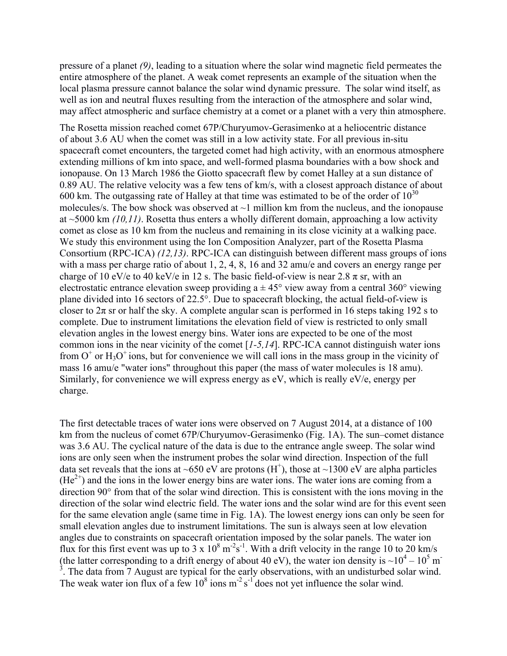pressure of a planet *(9)*, leading to a situation where the solar wind magnetic field permeates the entire atmosphere of the planet. A weak comet represents an example of the situation when the local plasma pressure cannot balance the solar wind dynamic pressure. The solar wind itself, as well as ion and neutral fluxes resulting from the interaction of the atmosphere and solar wind, may affect atmospheric and surface chemistry at a comet or a planet with a very thin atmosphere.

The Rosetta mission reached comet 67P/Churyumov-Gerasimenko at a heliocentric distance of about 3.6 AU when the comet was still in a low activity state. For all previous in-situ spacecraft comet encounters, the targeted comet had high activity, with an enormous atmosphere extending millions of km into space, and well-formed plasma boundaries with a bow shock and ionopause. On 13 March 1986 the Giotto spacecraft flew by comet Halley at a sun distance of 0.89 AU. The relative velocity was a few tens of km/s, with a closest approach distance of about 600 km. The outgassing rate of Halley at that time was estimated to be of the order of  $10^{30}$ molecules/s. The bow shock was observed at  $\sim$ 1 million km from the nucleus, and the ionopause at ~5000 km *(10,11)*. Rosetta thus enters a wholly different domain, approaching a low activity comet as close as 10 km from the nucleus and remaining in its close vicinity at a walking pace. We study this environment using the Ion Composition Analyzer, part of the Rosetta Plasma Consortium (RPC-ICA) *(12,13)*. RPC-ICA can distinguish between different mass groups of ions with a mass per charge ratio of about 1, 2, 4, 8, 16 and 32 amu/e and covers an energy range per charge of 10 eV/e to 40 keV/e in 12 s. The basic field-of-view is near 2.8  $\pi$  sr, with an electrostatic entrance elevation sweep providing  $a \pm 45^{\circ}$  view away from a central 360° viewing plane divided into 16 sectors of 22.5°. Due to spacecraft blocking, the actual field-of-view is closer to  $2\pi$  sr or half the sky. A complete angular scan is performed in 16 steps taking 192 s to complete. Due to instrument limitations the elevation field of view is restricted to only small elevation angles in the lowest energy bins. Water ions are expected to be one of the most common ions in the near vicinity of the comet [*1-5,14*]. RPC-ICA cannot distinguish water ions from  $O^+$  or  $H_3O^+$  ions, but for convenience we will call ions in the mass group in the vicinity of mass 16 amu/e "water ions" throughout this paper (the mass of water molecules is 18 amu). Similarly, for convenience we will express energy as eV, which is really eV/e, energy per charge.

The first detectable traces of water ions were observed on 7 August 2014, at a distance of 100 km from the nucleus of comet 67P/Churyumov-Gerasimenko (Fig. 1A). The sun–comet distance was 3.6 AU. The cyclical nature of the data is due to the entrance angle sweep. The solar wind ions are only seen when the instrument probes the solar wind direction. Inspection of the full data set reveals that the ions at ~650 eV are protons (H<sup>+</sup>), those at ~1300 eV are alpha particles  $(He<sup>2+</sup>)$  and the ions in the lower energy bins are water ions. The water ions are coming from a direction 90° from that of the solar wind direction. This is consistent with the ions moving in the direction of the solar wind electric field. The water ions and the solar wind are for this event seen for the same elevation angle (same time in Fig. 1A). The lowest energy ions can only be seen for small elevation angles due to instrument limitations. The sun is always seen at low elevation angles due to constraints on spacecraft orientation imposed by the solar panels. The water ion flux for this first event was up to 3 x  $10^8$  m<sup>-2</sup>s<sup>-1</sup>. With a drift velocity in the range 10 to 20 km/s (the latter corresponding to a drift energy of about 40 eV), the water ion density is  $\sim 10^4 - 10^5$  m<sup>-</sup>  $3$ . The data from 7 August are typical for the early observations, with an undisturbed solar wind. The weak water ion flux of a few  $10^8$  ions m<sup>-2</sup> s<sup>-1</sup> does not yet influence the solar wind.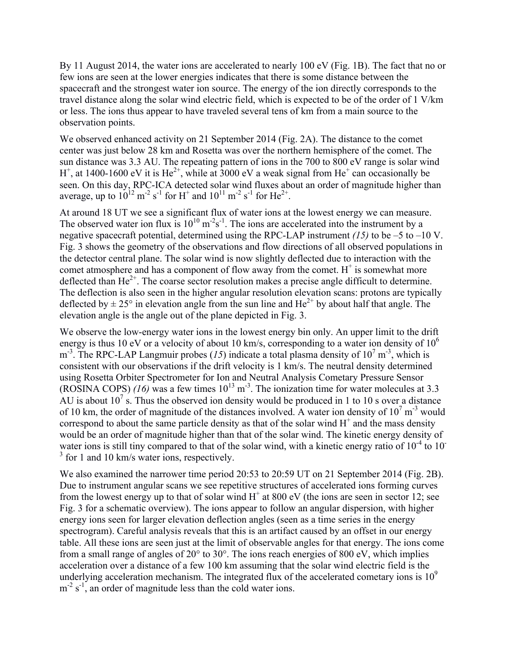By 11 August 2014, the water ions are accelerated to nearly 100 eV (Fig. 1B). The fact that no or few ions are seen at the lower energies indicates that there is some distance between the spacecraft and the strongest water ion source. The energy of the ion directly corresponds to the travel distance along the solar wind electric field, which is expected to be of the order of 1 V/km or less. The ions thus appear to have traveled several tens of km from a main source to the observation points.

We observed enhanced activity on 21 September 2014 (Fig. 2A). The distance to the comet center was just below 28 km and Rosetta was over the northern hemisphere of the comet. The sun distance was 3.3 AU. The repeating pattern of ions in the 700 to 800 eV range is solar wind  $H^+$ , at 1400-1600 eV it is  $He^{2+}$ , while at 3000 eV a weak signal from  $He^+$  can occasionally be seen. On this day, RPC-ICA detected solar wind fluxes about an order of magnitude higher than average, up to  $10^{12}$  m<sup>-2</sup> s<sup>-1</sup> for H<sup>+</sup> and  $10^{11}$  m<sup>-2</sup> s<sup>-1</sup> for He<sup>2+</sup>.

At around 18 UT we see a significant flux of water ions at the lowest energy we can measure. The observed water ion flux is  $10^{10}$  m<sup>-2</sup>s<sup>-1</sup>. The ions are accelerated into the instrument by a negative spacecraft potential, determined using the RPC-LAP instrument *(15)* to be –5 to –10 V. Fig. 3 shows the geometry of the observations and flow directions of all observed populations in the detector central plane. The solar wind is now slightly deflected due to interaction with the comet atmosphere and has a component of flow away from the comet.  $H^+$  is somewhat more deflected than  $He^{2+}$ . The coarse sector resolution makes a precise angle difficult to determine. The deflection is also seen in the higher angular resolution elevation scans: protons are typically deflected by  $\pm 25^{\circ}$  in elevation angle from the sun line and He<sup>2+</sup> by about half that angle. The elevation angle is the angle out of the plane depicted in Fig. 3.

We observe the low-energy water ions in the lowest energy bin only. An upper limit to the drift energy is thus 10 eV or a velocity of about 10 km/s, corresponding to a water ion density of  $10^6$  $m<sup>3</sup>$ . The RPC-LAP Langmuir probes (15) indicate a total plasma density of 10<sup>7</sup> m<sup>-3</sup>, which is consistent with our observations if the drift velocity is 1 km/s. The neutral density determined using Rosetta Orbiter Spectrometer for Ion and Neutral Analysis Cometary Pressure Sensor (ROSINA COPS)  $(16)$  was a few times  $10^{13}$  m<sup>-3</sup>. The ionization time for water molecules at 3.3 AU is about  $10^7$  s. Thus the observed ion density would be produced in 1 to 10 s over a distance of 10 km, the order of magnitude of the distances involved. A water ion density of  $10^7 \text{ m}^3$  would correspond to about the same particle density as that of the solar wind  $H^+$  and the mass density would be an order of magnitude higher than that of the solar wind. The kinetic energy density of water ions is still tiny compared to that of the solar wind, with a kinetic energy ratio of  $10^{-4}$  to  $10^{-7}$ <sup>3</sup> for 1 and 10 km/s water ions, respectively.

We also examined the narrower time period 20:53 to 20:59 UT on 21 September 2014 (Fig. 2B). Due to instrument angular scans we see repetitive structures of accelerated ions forming curves from the lowest energy up to that of solar wind  $H^+$  at 800 eV (the ions are seen in sector 12; see Fig. 3 for a schematic overview). The ions appear to follow an angular dispersion, with higher energy ions seen for larger elevation deflection angles (seen as a time series in the energy spectrogram). Careful analysis reveals that this is an artifact caused by an offset in our energy table. All these ions are seen just at the limit of observable angles for that energy. The ions come from a small range of angles of 20° to 30°. The ions reach energies of 800 eV, which implies acceleration over a distance of a few 100 km assuming that the solar wind electric field is the underlying acceleration mechanism. The integrated flux of the accelerated cometary ions is  $10<sup>9</sup>$  $m^{-2}$  s<sup>-1</sup>, an order of magnitude less than the cold water ions.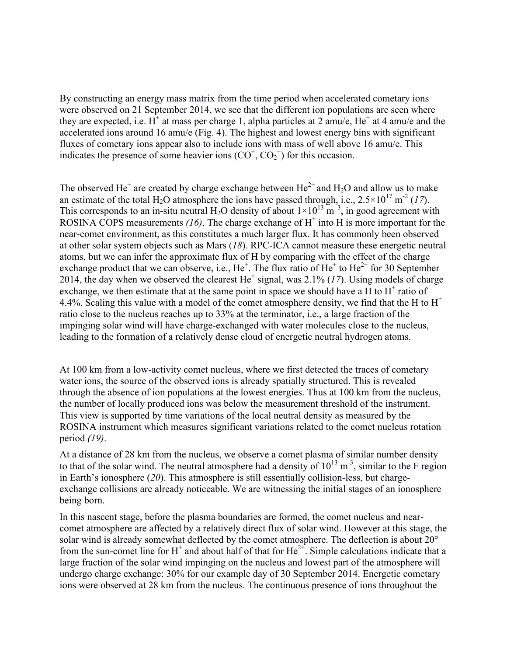By constructing an energy mass matrix from the time period when accelerated cometary ions were observed on 21 September 2014, we see that the different ion populations are seen where they are expected, i.e. H<sup>+</sup> at mass per charge 1, alpha particles at 2 amu/e,  $He^+$  at 4 amu/e and the accelerated ions around 16 amu/e (Fig. 4). The highest and lowest energy bins with significant fluxes of cometary ions appear also to include ions with mass of well above 16 amu/e. This indicates the presence of some heavier ions  $(CO<sup>+</sup>, CO<sub>2</sub><sup>+</sup>)$  for this occasion.

The observed He<sup>+</sup> are created by charge exchange between He<sup>2+</sup> and H<sub>2</sub>O and allow us to make an estimate of the total H<sub>2</sub>O atmosphere the ions have passed through, i.e.,  $2.5 \times 10^{17}$  m<sup>-2</sup> (17). This corresponds to an in-situ neutral H<sub>2</sub>O density of about  $1 \times 10^{13}$  m<sup>-3</sup>, in good agreement with ROSINA COPS measurements  $(16)$ . The charge exchange of  $H^+$  into H is more important for the near-comet environment, as this constitutes a much larger flux. It has commonly been observed at other solar system objects such as Mars (*18*). RPC-ICA cannot measure these energetic neutral atoms, but we can infer the approximate flux of H by comparing with the effect of the charge exchange product that we can observe, i.e.,  $He^+$ . The flux ratio of  $He^+$  to  $He^{2+}$  for 30 September 2014, the day when we observed the clearest  $He<sup>+</sup>$  signal, was 2.1% (17). Using models of charge exchange, we then estimate that at the same point in space we should have a H to  $H^+$  ratio of 4.4%. Scaling this value with a model of the comet atmosphere density, we find that the H to  $H^+$ ratio close to the nucleus reaches up to 33% at the terminator, i.e., a large fraction of the impinging solar wind will have charge-exchanged with water molecules close to the nucleus, leading to the formation of a relatively dense cloud of energetic neutral hydrogen atoms.

At 100 km from a low-activity comet nucleus, where we first detected the traces of cometary water ions, the source of the observed ions is already spatially structured. This is revealed through the absence of ion populations at the lowest energies. Thus at 100 km from the nucleus, the number of locally produced ions was below the measurement threshold of the instrument. This view is supported by time variations of the local neutral density as measured by the ROSINA instrument which measures significant variations related to the comet nucleus rotation period *(19)*.

At a distance of 28 km from the nucleus, we observe a comet plasma of similar number density to that of the solar wind. The neutral atmosphere had a density of  $10^{13}$  m<sup>-3</sup>, similar to the F region in Earth's ionosphere (*20*). This atmosphere is still essentially collision-less, but chargeexchange collisions are already noticeable. We are witnessing the initial stages of an ionosphere being born.

In this nascent stage, before the plasma boundaries are formed, the comet nucleus and nearcomet atmosphere are affected by a relatively direct flux of solar wind. However at this stage, the solar wind is already somewhat deflected by the comet atmosphere. The deflection is about 20° from the sun-comet line for  $H^+$  and about half of that for  $He^{2+}$ . Simple calculations indicate that a large fraction of the solar wind impinging on the nucleus and lowest part of the atmosphere will undergo charge exchange: 30% for our example day of 30 September 2014. Energetic cometary ions were observed at 28 km from the nucleus. The continuous presence of ions throughout the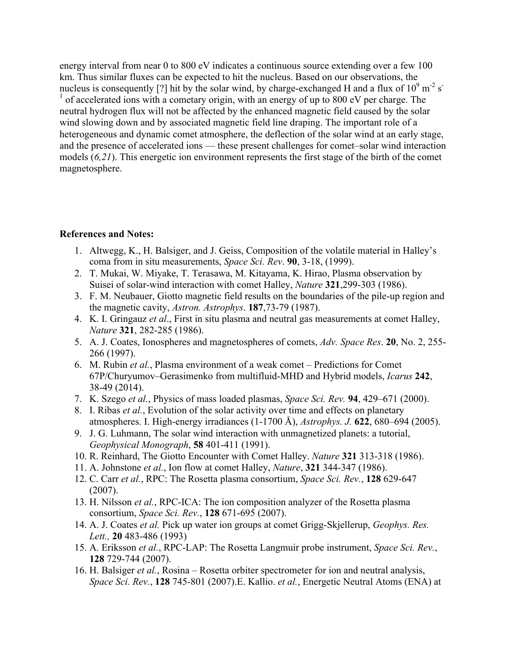energy interval from near 0 to 800 eV indicates a continuous source extending over a few 100 km. Thus similar fluxes can be expected to hit the nucleus. Based on our observations, the nucleus is consequently [?] hit by the solar wind, by charge-exchanged H and a flux of  $10^9$  m<sup>-2</sup> s<sup>-</sup>  $<sup>1</sup>$  of accelerated ions with a cometary origin, with an energy of up to 800 eV per charge. The</sup> neutral hydrogen flux will not be affected by the enhanced magnetic field caused by the solar wind slowing down and by associated magnetic field line draping. The important role of a heterogeneous and dynamic comet atmosphere, the deflection of the solar wind at an early stage, and the presence of accelerated ions — these present challenges for comet–solar wind interaction models (*6,21*). This energetic ion environment represents the first stage of the birth of the comet magnetosphere.

## **References and Notes:**

- 1. Altwegg, K., H. Balsiger, and J. Geiss, Composition of the volatile material in Halley's coma from in situ measurements, *Space Sci. Rev*. **90**, 3-18, (1999).
- 2. T. Mukai, W. Miyake, T. Terasawa, M. Kitayama, K. Hirao, Plasma observation by Suisei of solar-wind interaction with comet Halley, *Nature* **321**,299-303 (1986).
- 3. F. M. Neubauer, Giotto magnetic field results on the boundaries of the pile-up region and the magnetic cavity, *Astron. Astrophys*. **187**,73-79 (1987).
- 4. K. I. Gringauz *et al*., First in situ plasma and neutral gas measurements at comet Halley, *Nature* **321**, 282-285 (1986).
- 5. A. J. Coates, Ionospheres and magnetospheres of comets, *Adv. Space Res*. **20**, No. 2, 255- 266 (1997).
- 6. M. Rubin *et al.*, Plasma environment of a weak comet Predictions for Comet 67P/Churyumov–Gerasimenko from multifluid-MHD and Hybrid models, *Icarus* **242**, 38-49 (2014).
- 7. K. Szego *et al.*, Physics of mass loaded plasmas, *Space Sci. Rev.* **94**, 429–671 (2000).
- 8. I. Ribas *et al.*, Evolution of the solar activity over time and effects on planetary atmospheres. I. High-energy irradiances (1-1700 Å), *Astrophys. J.* **622**, 680–694 (2005).
- 9. J. G. Luhmann, The solar wind interaction with unmagnetized planets: a tutorial, *Geophysical Monograph*, **58** 401-411 (1991).
- 10. R. Reinhard, The Giotto Encounter with Comet Halley. *Nature* **321** 313-318 (1986).
- 11. A. Johnstone *et al.*, Ion flow at comet Halley, *Nature*, **321** 344-347 (1986).
- 12. C. Carr *et al.*, RPC: The Rosetta plasma consortium, *Space Sci. Rev.*, **128** 629-647 (2007).
- 13. H. Nilsson *et al.*, RPC-ICA: The ion composition analyzer of the Rosetta plasma consortium, *Space Sci. Rev.*, **128** 671-695 (2007).
- 14. A. J. Coates *et al.* Pick up water ion groups at comet Grigg-Skjellerup, *Geophys. Res. Lett.,* **20** 483-486 (1993)
- 15. A. Eriksson *et al.*, RPC-LAP: The Rosetta Langmuir probe instrument, *Space Sci. Rev.*, **128** 729-744 (2007).
- 16. H. Balsiger *et al.*, Rosina Rosetta orbiter spectrometer for ion and neutral analysis, *Space Sci. Rev.*, **128** 745-801 (2007).E. Kallio. *et al.*, Energetic Neutral Atoms (ENA) at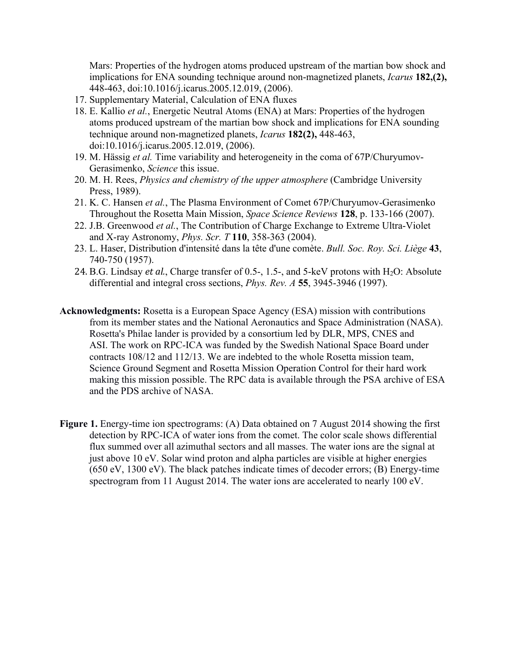Mars: Properties of the hydrogen atoms produced upstream of the martian bow shock and implications for ENA sounding technique around non-magnetized planets, *Icarus* **182,(2),** 448-463, doi:10.1016/j.icarus.2005.12.019, (2006).

- 17. Supplementary Material, Calculation of ENA fluxes
- 18. E. Kallio *et al.*, Energetic Neutral Atoms (ENA) at Mars: Properties of the hydrogen atoms produced upstream of the martian bow shock and implications for ENA sounding technique around non-magnetized planets, *Icarus* **182(2),** 448-463, doi:10.1016/j.icarus.2005.12.019, (2006).
- 19. M. Hässig *et al.* Time variability and heterogeneity in the coma of 67P/Churyumov-Gerasimenko, *Science* this issue.
- 20. M. H. Rees, *Physics and chemistry of the upper atmosphere* (Cambridge University Press, 1989).
- 21. K. C. Hansen *et al.*, The Plasma Environment of Comet 67P/Churyumov-Gerasimenko Throughout the Rosetta Main Mission, *Space Science Reviews* **128**, p. 133-166 (2007).
- 22. J.B. Greenwood *et al.*, The Contribution of Charge Exchange to Extreme Ultra-Violet and X-ray Astronomy, *Phys. Scr. T* **110**, 358-363 (2004).
- 23. L. Haser, Distribution d'intensité dans la tête d'une comète. *Bull. Soc. Roy. Sci. Liège* **43**, 740-750 (1957).
- 24. B.G. Lindsay *et al.*, Charge transfer of 0.5-, 1.5-, and 5-keV protons with H<sub>2</sub>O: Absolute differential and integral cross sections, *Phys. Rev. A* **55**, 3945-3946 (1997).
- **Acknowledgments:** Rosetta is a European Space Agency (ESA) mission with contributions from its member states and the National Aeronautics and Space Administration (NASA). Rosetta's Philae lander is provided by a consortium led by DLR, MPS, CNES and ASI. The work on RPC-ICA was funded by the Swedish National Space Board under contracts 108/12 and 112/13. We are indebted to the whole Rosetta mission team, Science Ground Segment and Rosetta Mission Operation Control for their hard work making this mission possible. The RPC data is available through the PSA archive of ESA and the PDS archive of NASA.
- **Figure 1.** Energy-time ion spectrograms: (A) Data obtained on 7 August 2014 showing the first detection by RPC-ICA of water ions from the comet. The color scale shows differential flux summed over all azimuthal sectors and all masses. The water ions are the signal at just above 10 eV. Solar wind proton and alpha particles are visible at higher energies (650 eV, 1300 eV). The black patches indicate times of decoder errors; (B) Energy-time spectrogram from 11 August 2014. The water ions are accelerated to nearly 100 eV.